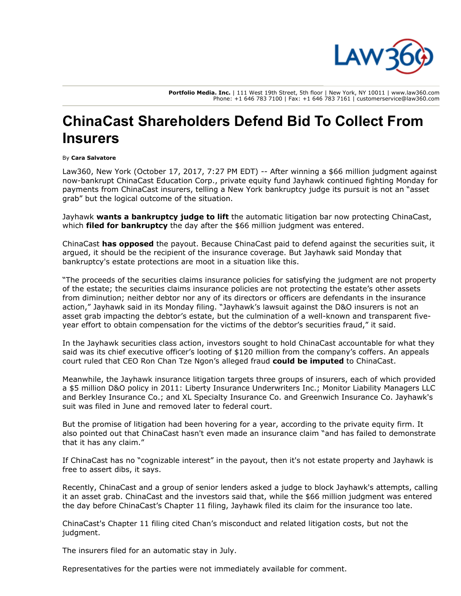

Portfolio Media. Inc. | 111 West 19th Street, 5th floor | New York, NY 10011 | www.law360.com Phone: +1 646 783 7100 | Fax: +1 646 783 7161 | customerservice@law360.com

## ChinaCast Shareholders Defend Bid To Collect From Insurers

## By Cara Salvatore

Law360, New York (October 17, 2017, 7:27 PM EDT) -- After winning a \$66 million judgment against now-bankrupt [ChinaCast Education Corp](https://www.law360.com/companies/chinacast-education-corp)., private equity fund Jayhawk continued fighting Monday for payments from ChinaCast insurers, telling a New York bankruptcy judge its pursuit is not an "asset grab" but the logical outcome of the situation.

Jayhawk [wants a bankruptcy judge to lift](https://www.law360.com/articles/965093?scroll=1) the automatic litigation bar now protecting ChinaCast, which **filed for bankruptcy** the day after the \$66 million judgment was entered.

ChinaCast [has opposed](https://www.law360.com/articles/973364) the payout. Because ChinaCast paid to defend against the securities suit, it argued, it should be the recipient of the insurance coverage. But Jayhawk said Monday that bankruptcy's estate protections are moot in a situation like this.

"The proceeds of the securities claims insurance policies for satisfying the judgment are not property of the estate; the securities claims insurance policies are not protecting the estate's other assets from diminution; neither debtor nor any of its directors or officers are defendants in the insurance action," Jayhawk said in its Monday filing. "Jayhawk's lawsuit against the D&O insurers is not an asset grab impacting the debtor's estate, but the culmination of a well-known and transparent fiveyear effort to obtain compensation for the victims of the debtor's securities fraud," it said.

In the Jayhawk securities class action, investors sought to hold ChinaCast accountable for what they said was its chief executive officer's looting of \$120 million from the company's coffers. An appeals court ruled that CEO Ron Chan Tze Ngon's alleged fraud [could be imputed](https://www.law360.com/articles/718434) to ChinaCast.

Meanwhile, the Jayhawk insurance litigation targets three groups of insurers, each of which provided a \$5 million D&O policy in 2011: Liberty Insurance Underwriters Inc.; Monitor Liability Managers LLC and Berkley Insurance Co.; and XL Specialty Insurance Co. and Greenwich Insurance Co. Jayhawk's suit was filed in June and removed later to federal court.

But the promise of litigation had been hovering for a year, according to the private equity firm. It also pointed out that ChinaCast hasn't even made an insurance claim "and has failed to demonstrate that it has any claim."

If ChinaCast has no "cognizable interest" in the payout, then it's not estate property and Jayhawk is free to assert dibs, it says.

Recently, ChinaCast and a group of senior lenders asked a judge to block Jayhawk's attempts, calling it an asset grab. ChinaCast and the investors said that, while the \$66 million judgment was entered the day before ChinaCast's Chapter 11 filing, Jayhawk filed its claim for the insurance too late.

ChinaCast's Chapter 11 filing cited Chan's misconduct and related litigation costs, but not the judgment.

The insurers filed for an automatic stay in July.

Representatives for the parties were not immediately available for comment.